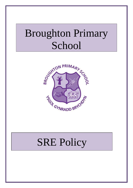# Broughton Primary School



## SRE Policy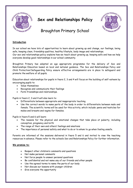

### **Sex and Relationships Policy**



Broughton Primary School

#### **Introduction**

In our school we have lots of opportunities to learn about growing up and change, our feelings, being safe, keeping clean, friendship qualities, healthy lifestyle, body image and relationships.

Our sex and relationships policy explains how we teach about growing up, keeping safe and how we help everyone develop good relationships in our school community.

Broughton Primary has adopted an age appropriate programme for the delivery of Sex and Relationships Education based on local and national guidance. The Sex and Relationships Policy and Child Protection/Safeguarding Policy ensure effective arrangements are in place to safeguard and promote the welfare of all pupils.

Education about relationships for pupils in Years 2, 3 and 4 will focus on the building of self-esteem by encouraging pupils to:

- Value themselves
- Recognise and communicate their feelings
- Form friendships and relationships.

Pupils in Years 2, 3 and 4 will also learn to:

- Differentiate between appropriate and inappropriate touching
- Use the correct words to name parts of the body in order to differentiate between male and female. The scientific terms will be used for this activity, which include: penis and testicles for males and breasts and vagina for females.

Pupils in Years 5 and 6 will learn:

- The reasons for the physical and emotional changes that take place at puberty, including conception, pregnancy and birth
- The range of their own and others' feelings and emotions
- The importance of personal safety and what to do or to whom to go when feeling unsafe.

Parents are informed of the sessions delivered in Years 5 and 6 and invited to view the teaching resources in advance. Please refer to the schools Sex and Relationships Policy for further information.

#### **We promise to:**

- Respect other children's comments and questions
- Not make personal comments
- Not force people to answer personal questions
- Be confidential and not name any of our friends and other people
- Use the agreed terms to name the parts of our body
- Not discuss our lessons with younger children
- Give everyone the opportunity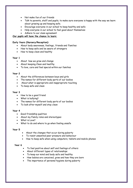- Not make fun of our friends
- Talk to parents, staff and pupils, to make sure everyone is happy with the way we learn about growing up and keeping safe.
- Encourage everyone in our school to keep healthy and safe
- Help everyone in our school to feel good about themselves
- Adhere to our class agreement

#### **Our pupils will have the chance to learn:**

#### **Early Years (Nursery/Reception):**

- About body awareness, feelings**,** friends and Families
- How to keep safe and be aware of strangers
- How to keep clean and healthy

#### **Year 1**

- About how we grow and change
- About keeping Clean and healthy
- To love, care and feel special within our families

#### **Year 2**

- About the differences between boys and girls
- The names for different body parts of our bodies
- About what is appropriate and inappropriate touching
- To keep safe and clean

#### **Year 3**

- How to be a good friend
- What is bullying?
- The names for different body parts of our bodies
- To look after myself and stay clean

#### **Year 4**

- Good friendship qualities
- About my Family roles and stereotypes
- What is Love?
- What to do and where to go when feeling unsafe

#### **Year 5**

- About the changes that occur during puberty
- To resist unwanted peer pressure and behaviour
- How to keep safe when using computers, tablets and mobile phones

#### **Year 6**

- To feel positive about self and feelings of others
- About different types of relationships
- To keep our mind and body safe and healthy
- How babies are conceived, grow and how they are born
- The importance of personal hygiene during puberty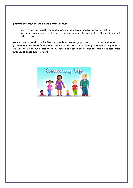#### **Everyone will know we are a caring school because:**

 We work with our pupils to tackle bullying and make sure everyone feels safe in school We encourage children to tell us if they are unhappy and try and sort out the problem or get help for them

We share our ideas with our families and friends and encourage parents to talk to their children about growing up and keeping safe. We invite parents to see how we learn about growing up and keeping safe. We also work with our school nurse, PC Ashton and other people who can help us to look after ourselves and keep ourselves safe.